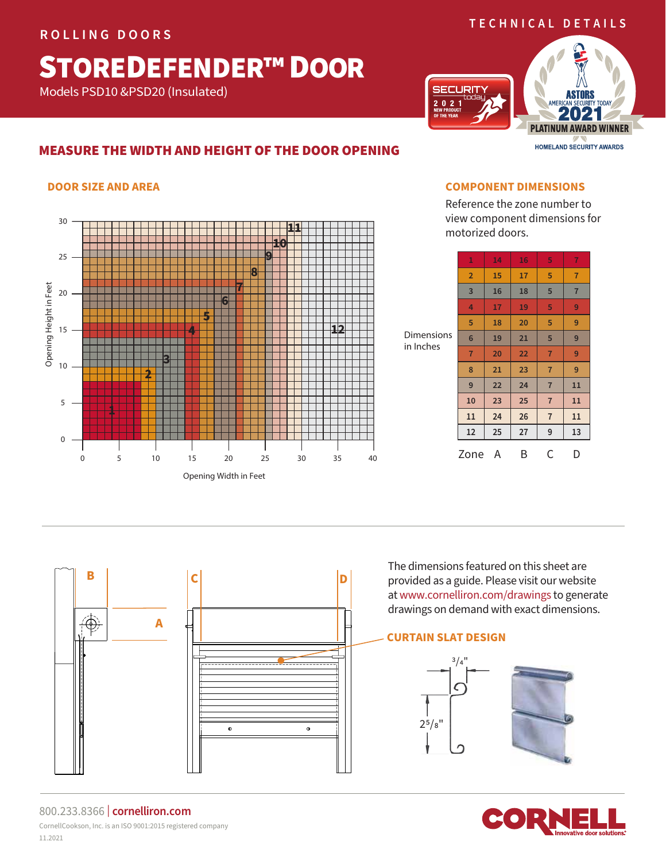#### **ROLLING DOORS**

## **TECHNICAL DETAILS**

## STOREDEFENDER™ DOOR

Models PSD10 &PSD20 (Insulated)

# **JRIT**  $\overline{\begin{array}{c} 2 & 0 & 2 & 1 \\ \text{NEW PRODUCT} \\ \text{OF THE YEAR} \end{array}}$



## MEASURE THE WIDTH AND HEIGHT OF THE DOOR OPENING

#### **DOOR SIZE AND AREA**



**B C D** 

 $\bullet$ 

 $\bullet$ 

#### **COMPONENT DIMENSIONS**

Reference the zone number to view component dimensions for motorized doors.

| <b>Dimensions</b><br>in Inches | 1               | 14 | 16 | 5              | 7              |
|--------------------------------|-----------------|----|----|----------------|----------------|
|                                | $\overline{2}$  | 15 | 17 | 5              | $\overline{7}$ |
|                                | 3               | 16 | 18 | 5              | $\overline{7}$ |
|                                | 4               | 17 | 19 | 5              | 9              |
|                                | 5               | 18 | 20 | 5              | 9              |
|                                | $6\phantom{1}6$ | 19 | 21 | 5              | 9              |
|                                | $\overline{7}$  | 20 | 22 | $\overline{7}$ | 9              |
|                                | 8               | 21 | 23 | $\overline{7}$ | 9              |
|                                | 9               | 22 | 24 | $\overline{7}$ | 11             |
|                                | 10              | 23 | 25 | $\overline{7}$ | 11             |
|                                | 11              | 24 | 26 | $\overline{7}$ | 11             |
|                                | 12              | 25 | 27 | 9              | 13             |
|                                | Zone            | A  | B  | С              | D              |

The dimensions featured on this sheet are provided as a guide. Please visit our website at www.cornelliron.com/drawings to generate drawings on demand with exact dimensions.

#### **CURTAIN SLAT DESIGN**







#### 800.233.8366 | **cornelliron.com** CornellCookson, Inc. is an ISO 9001:2015 registered company 11.2021

**A**